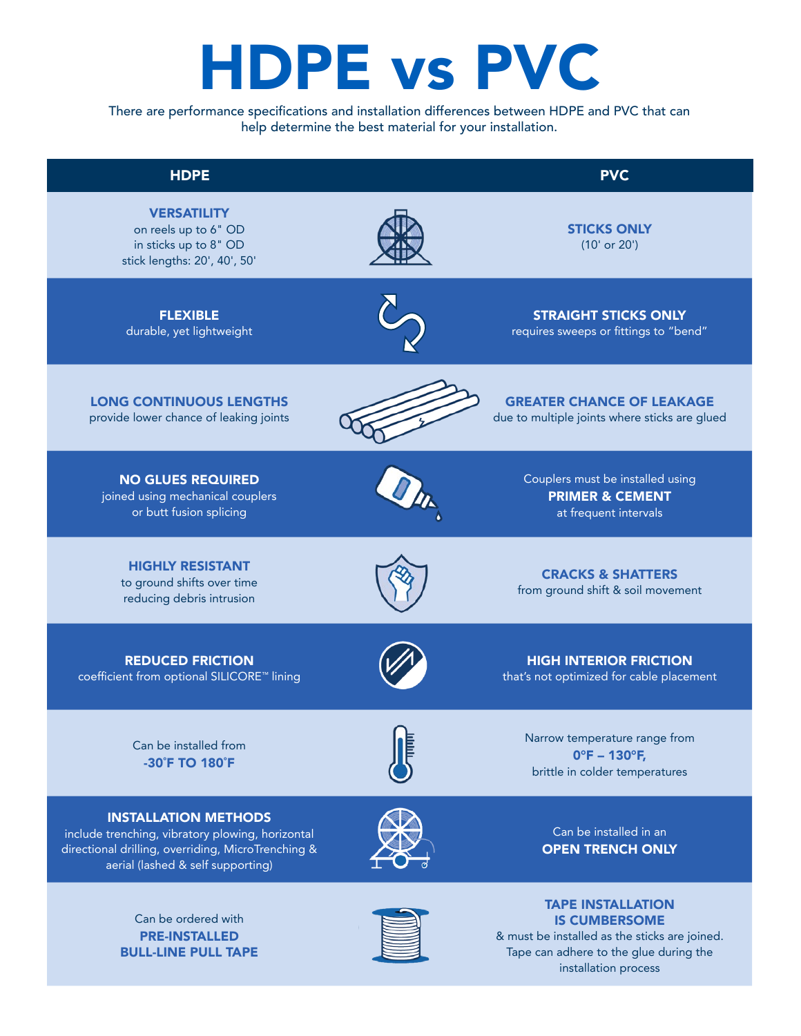## HDPE vs PVC

There are performance specifications and installation differences between HDPE and PVC that can help determine the best material for your installation.





PRE-INSTALLED BULL-LINE PULL TAPE & must be installed as the sticks are joined. Tape can adhere to the glue during the installation process